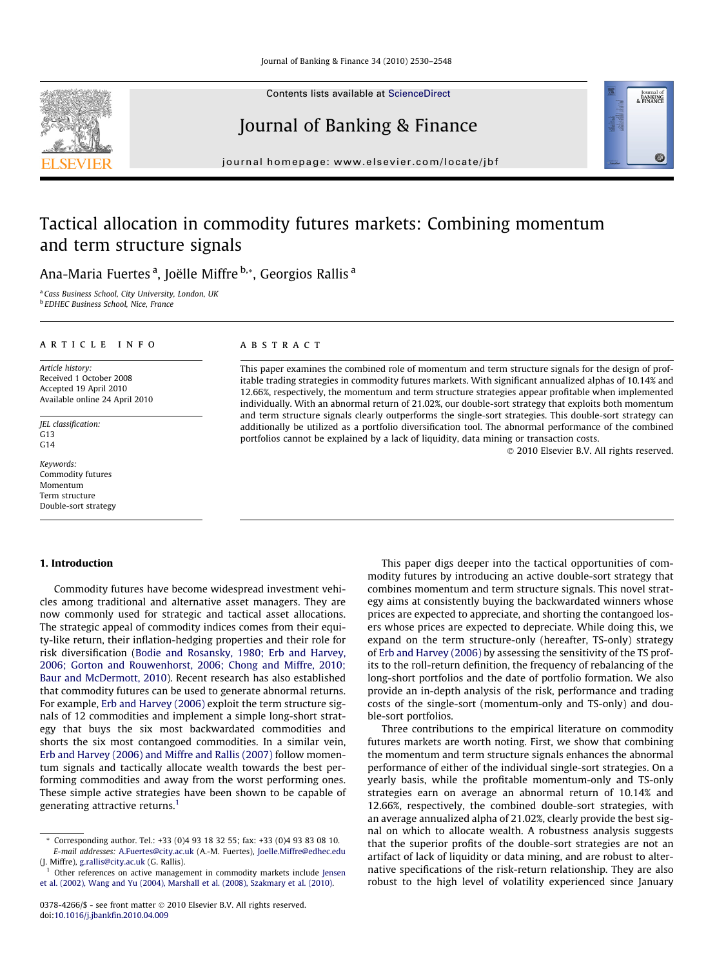Contents lists available at [ScienceDirect](http://www.sciencedirect.com/science/journal/03784266)

## Journal of Banking & Finance

journal homepage: [www.elsevier.com/locate/jbf](http://www.elsevier.com/locate/jbf)

# Tactical allocation in commodity futures markets: Combining momentum and term structure signals

Ana-Maria Fuertes <sup>a</sup>, Joëlle Miffre <sup>b,</sup>\*, Georgios Rallis <sup>a</sup>

<sup>a</sup> Cass Business School, City University, London, UK **b EDHEC Business School, Nice, France** 

#### article info

Article history: Received 1 October 2008 Accepted 19 April 2010 Available online 24 April 2010

JEL classification: G13  $C<sub>14</sub>$ 

Keywords: Commodity futures Momentum Term structure Double-sort strategy

### ABSTRACT

This paper examines the combined role of momentum and term structure signals for the design of profitable trading strategies in commodity futures markets. With significant annualized alphas of 10.14% and 12.66%, respectively, the momentum and term structure strategies appear profitable when implemented individually. With an abnormal return of 21.02%, our double-sort strategy that exploits both momentum and term structure signals clearly outperforms the single-sort strategies. This double-sort strategy can additionally be utilized as a portfolio diversification tool. The abnormal performance of the combined portfolios cannot be explained by a lack of liquidity, data mining or transaction costs.

- 2010 Elsevier B.V. All rights reserved.

### 1. Introduction

Commodity futures have become widespread investment vehicles among traditional and alternative asset managers. They are now commonly used for strategic and tactical asset allocations. The strategic appeal of commodity indices comes from their equity-like return, their inflation-hedging properties and their role for risk diversification [\(Bodie and Rosansky, 1980; Erb and Harvey,](#page--1-0) [2006; Gorton and Rouwenhorst, 2006; Chong and Miffre, 2010;](#page--1-0) [Baur and McDermott, 2010\)](#page--1-0). Recent research has also established that commodity futures can be used to generate abnormal returns. For example, [Erb and Harvey \(2006\)](#page--1-0) exploit the term structure signals of 12 commodities and implement a simple long-short strategy that buys the six most backwardated commodities and shorts the six most contangoed commodities. In a similar vein, [Erb and Harvey \(2006\) and Miffre and Rallis \(2007\)](#page--1-0) follow momentum signals and tactically allocate wealth towards the best performing commodities and away from the worst performing ones. These simple active strategies have been shown to be capable of generating attractive returns.<sup>1</sup>

This paper digs deeper into the tactical opportunities of commodity futures by introducing an active double-sort strategy that combines momentum and term structure signals. This novel strategy aims at consistently buying the backwardated winners whose prices are expected to appreciate, and shorting the contangoed losers whose prices are expected to depreciate. While doing this, we expand on the term structure-only (hereafter, TS-only) strategy of [Erb and Harvey \(2006\)](#page--1-0) by assessing the sensitivity of the TS profits to the roll-return definition, the frequency of rebalancing of the long-short portfolios and the date of portfolio formation. We also provide an in-depth analysis of the risk, performance and trading costs of the single-sort (momentum-only and TS-only) and double-sort portfolios.

Three contributions to the empirical literature on commodity futures markets are worth noting. First, we show that combining the momentum and term structure signals enhances the abnormal performance of either of the individual single-sort strategies. On a yearly basis, while the profitable momentum-only and TS-only strategies earn on average an abnormal return of 10.14% and 12.66%, respectively, the combined double-sort strategies, with an average annualized alpha of 21.02%, clearly provide the best signal on which to allocate wealth. A robustness analysis suggests that the superior profits of the double-sort strategies are not an artifact of lack of liquidity or data mining, and are robust to alternative specifications of the risk-return relationship. They are also robust to the high level of volatility experienced since January





<sup>\*</sup> Corresponding author. Tel.: +33 (0)4 93 18 32 55; fax: +33 (0)4 93 83 08 10. E-mail addresses: [A.Fuertes@city.ac.uk](mailto:A.Fuertes@city.ac.uk) (A.-M. Fuertes), [Joelle.Miffre@edhec.edu](mailto:Joelle.Miffre@edhec.edu) (J. Miffre), [g.rallis@city.ac.uk](mailto:g.rallis@city.ac.uk) (G. Rallis).

<sup>&</sup>lt;sup>1</sup> Other references on active management in commodity markets include [Jensen](#page--1-0) [et al. \(2002\), Wang and Yu \(2004\), Marshall et al. \(2008\), Szakmary et al. \(2010\).](#page--1-0)

<sup>0378-4266/\$ -</sup> see front matter © 2010 Elsevier B.V. All rights reserved. doi:[10.1016/j.jbankfin.2010.04.009](http://dx.doi.org/10.1016/j.jbankfin.2010.04.009)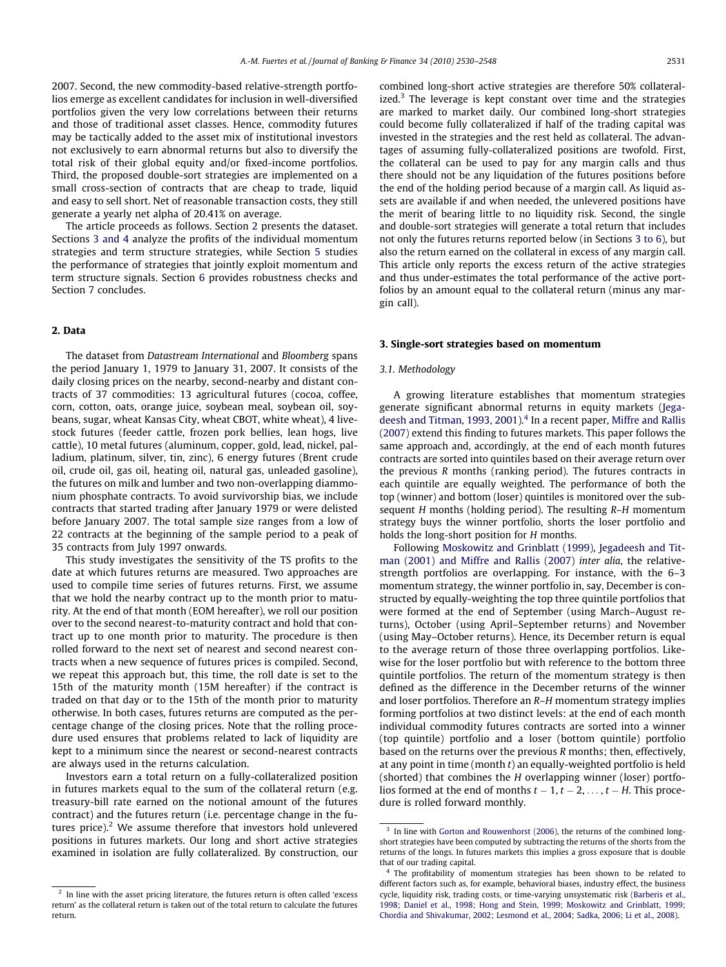2007. Second, the new commodity-based relative-strength portfolios emerge as excellent candidates for inclusion in well-diversified portfolios given the very low correlations between their returns and those of traditional asset classes. Hence, commodity futures may be tactically added to the asset mix of institutional investors not exclusively to earn abnormal returns but also to diversify the total risk of their global equity and/or fixed-income portfolios. Third, the proposed double-sort strategies are implemented on a small cross-section of contracts that are cheap to trade, liquid and easy to sell short. Net of reasonable transaction costs, they still generate a yearly net alpha of 20.41% on average.

The article proceeds as follows. Section 2 presents the dataset. Sections 3 and 4 analyze the profits of the individual momentum strategies and term structure strategies, while Section [5](#page--1-0) studies the performance of strategies that jointly exploit momentum and term structure signals. Section [6](#page--1-0) provides robustness checks and Section [7](#page--1-0) concludes.

## 2. Data

The dataset from Datastream International and Bloomberg spans the period January 1, 1979 to January 31, 2007. It consists of the daily closing prices on the nearby, second-nearby and distant contracts of 37 commodities: 13 agricultural futures (cocoa, coffee, corn, cotton, oats, orange juice, soybean meal, soybean oil, soybeans, sugar, wheat Kansas City, wheat CBOT, white wheat), 4 livestock futures (feeder cattle, frozen pork bellies, lean hogs, live cattle), 10 metal futures (aluminum, copper, gold, lead, nickel, palladium, platinum, silver, tin, zinc), 6 energy futures (Brent crude oil, crude oil, gas oil, heating oil, natural gas, unleaded gasoline), the futures on milk and lumber and two non-overlapping diammonium phosphate contracts. To avoid survivorship bias, we include contracts that started trading after January 1979 or were delisted before January 2007. The total sample size ranges from a low of 22 contracts at the beginning of the sample period to a peak of 35 contracts from July 1997 onwards.

This study investigates the sensitivity of the TS profits to the date at which futures returns are measured. Two approaches are used to compile time series of futures returns. First, we assume that we hold the nearby contract up to the month prior to maturity. At the end of that month (EOM hereafter), we roll our position over to the second nearest-to-maturity contract and hold that contract up to one month prior to maturity. The procedure is then rolled forward to the next set of nearest and second nearest contracts when a new sequence of futures prices is compiled. Second, we repeat this approach but, this time, the roll date is set to the 15th of the maturity month (15M hereafter) if the contract is traded on that day or to the 15th of the month prior to maturity otherwise. In both cases, futures returns are computed as the percentage change of the closing prices. Note that the rolling procedure used ensures that problems related to lack of liquidity are kept to a minimum since the nearest or second-nearest contracts are always used in the returns calculation.

Investors earn a total return on a fully-collateralized position in futures markets equal to the sum of the collateral return (e.g. treasury-bill rate earned on the notional amount of the futures contract) and the futures return (i.e. percentage change in the futures price). $2$  We assume therefore that investors hold unlevered positions in futures markets. Our long and short active strategies examined in isolation are fully collateralized. By construction, our combined long-short active strategies are therefore 50% collateralized.<sup>3</sup> The leverage is kept constant over time and the strategies are marked to market daily. Our combined long-short strategies could become fully collateralized if half of the trading capital was invested in the strategies and the rest held as collateral. The advantages of assuming fully-collateralized positions are twofold. First, the collateral can be used to pay for any margin calls and thus there should not be any liquidation of the futures positions before the end of the holding period because of a margin call. As liquid assets are available if and when needed, the unlevered positions have the merit of bearing little to no liquidity risk. Second, the single and double-sort strategies will generate a total return that includes not only the futures returns reported below (in Sections [3 to 6\)](#page--1-0), but also the return earned on the collateral in excess of any margin call. This article only reports the excess return of the active strategies and thus under-estimates the total performance of the active portfolios by an amount equal to the collateral return (minus any margin call).

#### 3. Single-sort strategies based on momentum

#### 3.1. Methodology

A growing literature establishes that momentum strategies generate significant abnormal returns in equity markets ([Jega](#page--1-0)[deesh and Titman, 1993, 2001](#page--1-0)).<sup>4</sup> In a recent paper, [Miffre and Rallis](#page--1-0) [\(2007\)](#page--1-0) extend this finding to futures markets. This paper follows the same approach and, accordingly, at the end of each month futures contracts are sorted into quintiles based on their average return over the previous R months (ranking period). The futures contracts in each quintile are equally weighted. The performance of both the top (winner) and bottom (loser) quintiles is monitored over the subsequent H months (holding period). The resulting R–H momentum strategy buys the winner portfolio, shorts the loser portfolio and holds the long-short position for H months.

Following [Moskowitz and Grinblatt \(1999\), Jegadeesh and Tit](#page--1-0)[man \(2001\) and Miffre and Rallis \(2007\)](#page--1-0) inter alia, the relativestrength portfolios are overlapping. For instance, with the 6–3 momentum strategy, the winner portfolio in, say, December is constructed by equally-weighting the top three quintile portfolios that were formed at the end of September (using March–August returns), October (using April–September returns) and November (using May–October returns). Hence, its December return is equal to the average return of those three overlapping portfolios. Likewise for the loser portfolio but with reference to the bottom three quintile portfolios. The return of the momentum strategy is then defined as the difference in the December returns of the winner and loser portfolios. Therefore an R–H momentum strategy implies forming portfolios at two distinct levels: at the end of each month individual commodity futures contracts are sorted into a winner (top quintile) portfolio and a loser (bottom quintile) portfolio based on the returns over the previous R months; then, effectively, at any point in time (month  $t$ ) an equally-weighted portfolio is held (shorted) that combines the H overlapping winner (loser) portfolios formed at the end of months  $t-1$ ,  $t-2, \ldots, t-H$ . This procedure is rolled forward monthly.

 $^{\rm 2}$  In line with the asset pricing literature, the futures return is often called 'excess return' as the collateral return is taken out of the total return to calculate the futures return.

 $3$  In line with [Gorton and Rouwenhorst \(2006\)](#page--1-0), the returns of the combined longshort strategies have been computed by subtracting the returns of the shorts from the returns of the longs. In futures markets this implies a gross exposure that is double that of our trading capital.

<sup>&</sup>lt;sup>4</sup> The profitability of momentum strategies has been shown to be related to different factors such as, for example, behavioral biases, industry effect, the business cycle, liquidity risk, trading costs, or time-varying unsystematic risk ([Barberis et al.,](#page--1-0) [1998; Daniel et al., 1998; Hong and Stein, 1999; Moskowitz and Grinblatt, 1999;](#page--1-0) [Chordia and Shivakumar, 2002; Lesmond et al., 2004; Sadka, 2006; Li et al., 2008\)](#page--1-0).